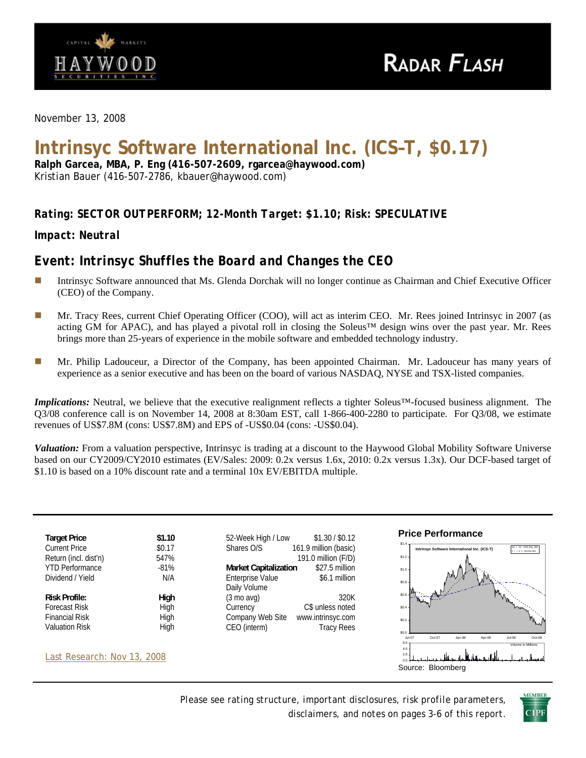

*November 13, 2008* 

# **Intrinsyc Software International Inc. (ICS–T, \$0.17)**

**Ralph Garcea, MBA, P. Eng (416-507-2609, rgarcea@haywood.com)**  Kristian Bauer (416-507-2786, kbauer@haywood.com)

## *Rating: SECTOR OUTPERFORM; 12-Month Target: \$1.10; Risk: SPECULATIVE*

*Impact: Neutral* 

## *Event: Intrinsyc Shuffles the Board and Changes the CEO*

- Intrinsyc Software announced that Ms. Glenda Dorchak will no longer continue as Chairman and Chief Executive Officer (CEO) of the Company.
- **Mr.** Tracy Rees, current Chief Operating Officer (COO), will act as interim CEO. Mr. Rees joined Intrinsyc in 2007 (as acting GM for APAC), and has played a pivotal roll in closing the Soleus™ design wins over the past year. Mr. Rees brings more than 25-years of experience in the mobile software and embedded technology industry.
- Mr. Philip Ladouceur, a Director of the Company, has been appointed Chairman. Mr. Ladouceur has many years of experience as a senior executive and has been on the board of various NASDAQ, NYSE and TSX-listed companies.

*Implications:* Neutral, we believe that the executive realignment reflects a tighter Soleus™-focused business alignment. The Q3/08 conference call is on November 14, 2008 at 8:30am EST, call 1-866-400-2280 to participate. For Q3/08, we estimate revenues of US\$7.8M (cons: US\$7.8M) and EPS of -US\$0.04 (cons: -US\$0.04).

*Valuation:* From a valuation perspective, Intrinsyc is trading at a discount to the Haywood Global Mobility Software Universe based on our CY2009/CY2010 estimates (EV/Sales: 2009: 0.2x versus 1.6x, 2010: 0.2x versus 1.3x). Our DCF-based target of \$1.10 is based on a 10% discount rate and a terminal 10x EV/EBITDA multiple.



*Please see rating structure, important disclosures, risk profile parameters, disclaimers, and notes on pages 3-6 of this report*.

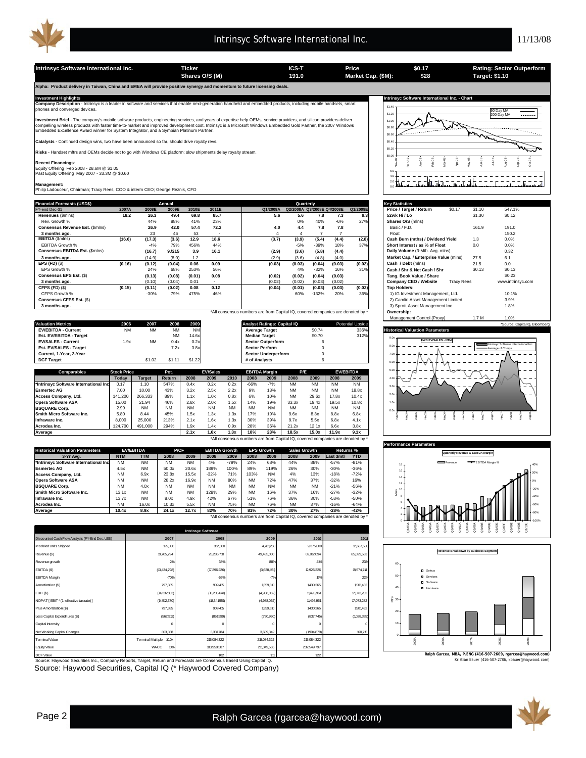

**Intrinsyc Software International Inc. Ticker Ticker ICS-T Price CALC 191.0 Market Cap. (\$M): 28 Target: \$1.10 Target: \$1.10 \$0.17 \$28 Shares O/S (M) Market Cap. (\$M): 191.0 Target: \$1.10 Alpha: Product delivery in Taiwan, China and EMEA will provide positive synergy and momentum to future licensing deals.**  Investment Highlights Mathemational Inc. - Chart<br>Company Description - Intrinsyc is a leader in software and services that enable next-generation handheld and embedded products, including mobile handsets, smart state of th \$1.40 50 Day MA \$1.20 200 Day MA **nt Brief** - The company's mobile software products, engineering services, and years of expertise help OEMs, service providers, and silicon providers deliver \$1.0 compelling wireless products with faster time-to-market and improved development cost. Intrinsyc is a Microsoft Windows Embedded Gold Partner, the 2007 Windows<br>Embedded Excellence Award winner for System Integrator, and a \$0.8 \$0.60 **Catalysts** - Continued design wins, two have been announced so far, should drive royalty revs. \$0.40 **Risks** - Handset mftrs and OEMs decide not to go with Windows CE platform; slow shipments delay royalty stream. \$0.20  $\sin 0$ Feb-08 Jun-08 Jul-08 Aug-08 Sep-08 Nov-07 Dec-07  $m-08$ Mar-08 Apr-08 May-08 Oct-08 **Recent Financings**: Equity Offering Feb 2008 - 28.6M @ \$1.05 Past Equity Offering May 2007 - 33.3M @ \$0.60 6.0 <u> 2002 - 200</u> 4.0 t tin  $=$   $-$ 2.0 **Management:** Philip Ladouceur, Chairman; Tracy Rees, COO & interm CEO; George Reznik, CFO 0.0 **Financial Forecasts (USD\$) Key Statistics Annual Quarterly** FY-end Dec-31 **2007A 2008E 2009E 2010E 2011E Q1/2008A Q2/2008A Q3/2008E Q4/2008E Q1/2009E Price / Target / Return** \$0.17 \$1.10 547.1% **Revenues** (\$mlns) **18.2 26.3 49.4 69.8 85.7 5.6 5.6 7.8 7.3 9.3 52wk Hi / Lo** \$1.30 \$0.12 **Conservence and Conservence 2008**<br> **Conservence Est. (\$mlns) 26.9 42.0 57.4 72.2 4.0 4.4 7.8 7.8 Basic / F.D. 161.9 191.0<br>
<b>Conserved Est. (\$mlns) 26.9 42.0 57.4 72.2 4.0 4.4 7.8 7.8** Basic / F.D. 161.9 191.0 Rev. Growth % 44% 88% 41% 23% 0% 40% -6% 27% **Shares O/S** (mlns) EBITDA **(16.6) 23 46 53 - 12.9 18.6 12.9) (18.6) - 12.9) (50.4) (18.6) (18.6) (18.6) (18.6) (18.6) (18.6) (18.6)<br>1999 (18.4) (2.8) (3.4) (3.4) (3.4) (3.4) (3.4) (3.4) (3.4) (3.4) (3.4) (3.4) (2.8) (5.4) (2.8) (2.8) (2.8) 3 months ago.** 23 46 53 - 1 4 4 7 7 8 Float 150.2 EBITDA Growth % -4% 79% 456% 44% -5% -39% 18% 37% **Short Interest / as % of Float** 0.0 0.0%<br>Consensus EBITDA Est. (\$mins) - 16.7 9.1215 3.9 16.1 (2.9) (3.6) (5.8) (4.4) Daily Volume (3-Mih. Avg. mins) - 0.32 **Consensus EBITDA Est.** (\$mlns) **(16.7) 9.1215 3.9 16.1** (2.9) (3.6) (5.8) (4.4) **Daily Volume (3-Mth. Avg. mlns)** 0.32<br>3 months ago. (14.9) (8.0) 1.2 (2.9) (3.6) (4.8) (4.0) **Market Cap. / Enterprise Value** (mlns) 27.5 6. **3 months ago.** (14.9) 1.2 (8.0) - (2.9) (4.8) (4.0) (3.6) (3.0) **Market Cap. / Enterprise Value** (mlns) 27.5 6.1 **EPS (FD)** (\$) **(0.16) (0.12) 0.06 0.09 (0.04) (0.03) (0.03) (0.04) (0.03) (0.02) Cash / Debt** (mlns) 21.5 0.0 EPS Growth % 24% 68% 253% 56% 4% -32% 16% 31% **Cash / Shr & Net Cash / Shr** \$0.13 \$0.13 **Consensus EPS Est.** (\$) **(0.13) (0.01) (0.08) 0.08 (0.02) (0.02) (0.04) (0.03) (0.02) Tang. Book Value / Share** \$0.23 **3 months ago.** (0.10) 0.01 (0.04) - (0.02) (0.02) (0.03) (0.02) (0.02) **Company CEO / Website** Tracy Rees www.intrinsyc.com CFPS Growth % -30% 79% 475% 46% 60% -132% 20% 36% 1) IG Investment Management, Ltd. 10.1% **CFPS (FD)** (\$) **(0.15) (0.11) 0.08 0.12 (0.02) (0.04) (0.01) (0.03) (0.03) (0.02) Top Holders:** Consensus CFPS Est. (\$) 2) Camlin Asset Management Limited 3.9% 3.9% and the set of the set of the set of the set of the set of the set of the set of the set of the set of the set of the set of the set of the set of the se \*All consensus numbers are from Capital IQ, covered companies are denoted by \* **Ownership:** Management Control (Proxy) 1.7 M 1.0% **Valuation Metrics 2006 2007 2008 2009 Analyst Ratings: Capital IQ** Potential Upside \*Source: CapitalIQ, Bloomberg **EV/EBITDA - Current** NM NM NM NM **Average Target** \$0.74 336% **Historical Valuation Parameters Est. EV/EBITDA - Target** NM 14.6x **Median Target** \$0.70 312% 9.0x **EV/SALES - Current EV/SALES - Current 1.9x** NM 0.4x 0.2x **Sector Outperform** 6<br> **Est. EV/SALES - Target 1.0x 1.2x 3.8x Sector Perform** 0 **FWD EV/SALES - NTM Est. EV/SALES - Target** 7.2x 3.8x **Sector Perform** 0 Intrinsyc Software International Inc. 8.0x Average of Comps **Current, 1-Year, 2-Year Sector Underperform Sector Underperform Sector Underperform** 7.0x **DCF Target** \$1.02 \$1.11 \$1.22 **# of Analysts** 6 6.0x **EV/EBITDA** 5.0x **Comparable Stock Price Pot.**<br> **Coday Comparable Target Return**<br>  $0.17$  1.10 547% **EBITDA Margin EV/Sales P/E**  $\overline{40}$ **Today Target Return 2008 2009 2010 2008 2009 2008 2009 2008 2009 \*Intrinsyc Software International Inc** 0.17 1.10 547% 0.4x 0.2x 0.2x -66% -7% NM NM NM NM 3.0x **Esmertec AG** 7.00 10.00 43% 3.2x 2.5x 2.2x 9% 13% NM NM NM 18.8x  $^{2.0}$ **CCESS Company, Ltd.** 141,200 266,333 89% 1.1x 1.0x 0.8x 6% 10% NM 29.6x 17.8x 10.4x **Opera Software ASA** 15.00 21.94 46% 2.8x 2.0x 1.5x 14% 19% 33.3x 19.4x 19.5x 10.8x 1.0x **BSQUARE Corp.** 2.99 NM NM NM NM NM NM NM NM NM NM NM 0.0x **Smith Micro Software Inc.** 5.80 8.44 45% 1.5x 1.3x 1.3x 17% 19% 9.6x 8.3x 8.8x 6.8x May05 Aug05 Nov05 Feb06 May06 Aug06 Nov07<br>Feb07<br>May07<br>Nov07 Feb08 May08 Aug08 Feb05 **Infraware Inc.** | 8,000 | 25,000 | 213% | 2.1x 1.6x 1.3x | 30% 39% | 9.7x 5.5x | 6.8x 4.1x **Acrodea Inc.** | 124,700 | 491,000 | 294% | 1.9x 1.4x 0.9x | 28% 36% | 21.2x 12.1x | 6.6x 3.8x **Average 2.1x 1.6x 1.3x 18% 23% 18.5x 15.0x 11.9x 9.1x** \*All consensus numbers are from Capital IQ, covered companies are denoted by \* **Performance Para Historical Valuation Parameters EV/EBITDA P/CF EBITDA** Growth **EPS Growth** Sales Growth Returns %<br>**NTM** TTM | 2008 2009 | 2008 2009 | 2008 2009 | 2008 2009 | Last 3mtl YTD **EPS Quarterly Revenue & EBITDA Margin 3-Yr Avg. NTM TTM 2008 2009 2008 2009 2008 2009 2008 2009 Last 3mth YTD \*Intrinsyc Software International Inc** NM NM NM NM 4% -79% 24% 68% 44% 88% -57% -81% Revenue **EBITDA** Margin % 18 **Esmertec AG** 4.5x NM 50.0x 20.6x 189% 100% 89% 119% 26% 30% -30% -36% 16 20% **Access Company, Ltd.** NM 6.9x 23.8x 15.5x -32% 71% 103% NM 4% 13% -18% -72% 14 **Opera Software ASA** NM NM 28.2x 16.9x NM 80% NM 72% 47% 37% -32% 16% 0% 12 **BSQUARE Corp.** NM 4.0x NM NM NM NM NM NM NM NM -21% -56% -20% Mlns 10 **Smith Micro Software Inc.** 13.1x NM NM NM 128% 29% NM 16% 37% 16% -27% -32% 8 -40% **Infraware Inc.** 13.7x NM 8.0x 4.9x 4.9x 67% 51% 76% 36% 30% -53% -50% 6 **Acrodea Inc.** NM 16.0x 10.3x 5.5x NM 75% NM 76% NM 37% -16% -64% -60% 4 **Average 10.4x 8.9x 24.1x 12.7x 82% 70% 81% 72% 30% 27% -28% -42%** -80% \*All consensus numbers are from Capital IQ, covered companies are denoted by \* 0 -100% A<br>Q1<br>Q1<br>Q1<br>Q1<br>Q1 Q1/10E  $Q4,08$  $Q1/09E$  $\frac{8}{2}$  $\frac{8}{9}$  $\frac{8}{3}$  $\frac{8}{3}$  $\frac{8}{3}$  $02/09$  $\frac{8}{32}$  $\frac{8}{3}$ **Intrinsyc Software** unted Cash Flow Analysis (FY-End Dec, US\$) **2010 2011 2007 2008 2009** Modeled Units Shipped 12,687,500 12,687,500 312,500 312,500 4,781,250 4,781,250 9,375,000 2,687,500 12,687,500 **Revenue Breakdown by Business Segment** venue (\$) 19,705,794 26,286,718 49,435,000 69,812,094 85,699,55 Revenue growth 2% 38% 88% 41% 23% 60 EBITDA (\$) 18,574,714 (13,434,798) (17,296,226) (3,628,451) 12,926,226 Soleus EBITDA Margin 50 -70% -66% -7% 19% 22% Services Software mortization (\$) 1,501,432 797,385 909,415 1,359,610 1,430,265 40 Hardware EBIT (\$) (14,232,183) (18,205,641) (4,988,062) 11,495,961 17,073,282 NOPAT [ EBIT \* (1 - effective tax rate) ] 17,073,282 g<br>g 30 (14,512,370) (18,341,551) (4,988,062) 11,495,961 Plus Amortization (\$) 797,385 909,415 1,359,610 1,430,265 1,501,432 1,501,432 20 Less Capital Expenditures (\$) (562,912) (861,999) (790,960) (837,745)  $(1,028,395)$ Capital Intensity 0 0 0 0 0 10 t Working Capital C 303,368 303,331,784 3,331,784 3,609,342 (1,904,879) 3,609,342 160,715 0 Terminal Multiple 10.0 215,084,322 215,084,322 215,084,322 inal Value 2005A 2006A 2007A 2008E 2009E  $\mathbf{0}$ 232,549.79 Equity Value 183,950,507

ource: Haywood Securities Inc., Company Reports, Target, Return and Forecasts are Consensus Based Using Capital IQ. DCF Value 1.11 1.22 1**.02** 

Source: Haywood Securities, Capital IQ (\* Haywood Covered Company)



kristian Bauer (416-507-2786, kb **Ralph Garcea, MBA, P.ENG (416-507-2609, rgarcea@haywood.com)**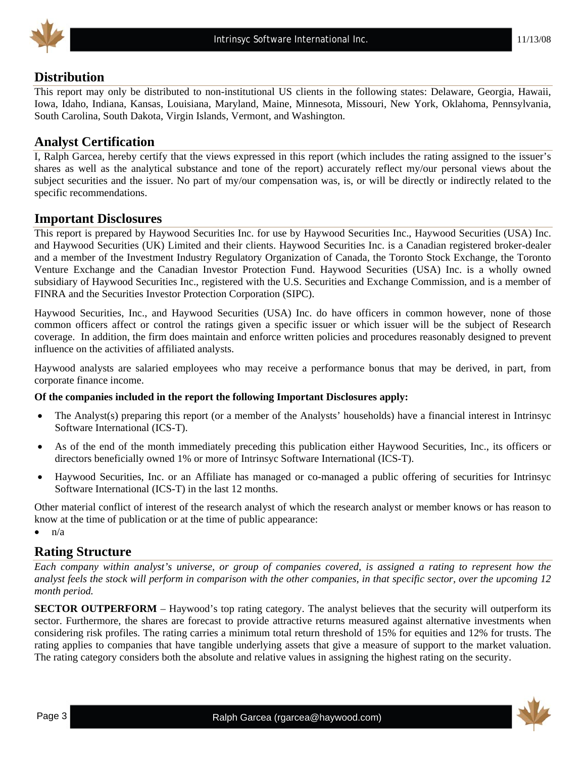

## **Distribution**

This report may only be distributed to non-institutional US clients in the following states: Delaware, Georgia, Hawaii, Iowa, Idaho, Indiana, Kansas, Louisiana, Maryland, Maine, Minnesota, Missouri, New York, Oklahoma, Pennsylvania, South Carolina, South Dakota, Virgin Islands, Vermont, and Washington.

## **Analyst Certification**

I, Ralph Garcea, hereby certify that the views expressed in this report (which includes the rating assigned to the issuer's shares as well as the analytical substance and tone of the report) accurately reflect my/our personal views about the subject securities and the issuer. No part of my/our compensation was, is, or will be directly or indirectly related to the specific recommendations.

#### **Important Disclosures**

This report is prepared by Haywood Securities Inc. for use by Haywood Securities Inc., Haywood Securities (USA) Inc. and Haywood Securities (UK) Limited and their clients. Haywood Securities Inc. is a Canadian registered broker-dealer and a member of the Investment Industry Regulatory Organization of Canada, the Toronto Stock Exchange, the Toronto Venture Exchange and the Canadian Investor Protection Fund. Haywood Securities (USA) Inc. is a wholly owned subsidiary of Haywood Securities Inc., registered with the U.S. Securities and Exchange Commission, and is a member of FINRA and the Securities Investor Protection Corporation (SIPC).

Haywood Securities, Inc., and Haywood Securities (USA) Inc. do have officers in common however, none of those common officers affect or control the ratings given a specific issuer or which issuer will be the subject of Research coverage. In addition, the firm does maintain and enforce written policies and procedures reasonably designed to prevent influence on the activities of affiliated analysts.

Haywood analysts are salaried employees who may receive a performance bonus that may be derived, in part, from corporate finance income.

#### **Of the companies included in the report the following Important Disclosures apply:**

- The Analyst(s) preparing this report (or a member of the Analysts' households) have a financial interest in Intrinsyc Software International (ICS-T).
- As of the end of the month immediately preceding this publication either Haywood Securities, Inc., its officers or directors beneficially owned 1% or more of Intrinsyc Software International (ICS-T).
- Haywood Securities, Inc. or an Affiliate has managed or co-managed a public offering of securities for Intrinsyc Software International (ICS-T) in the last 12 months.

Other material conflict of interest of the research analyst of which the research analyst or member knows or has reason to know at the time of publication or at the time of public appearance:

 $\bullet$   $n/a$ 

#### **Rating Structure**

*Each company within analyst's universe, or group of companies covered, is assigned a rating to represent how the analyst feels the stock will perform in comparison with the other companies, in that specific sector, over the upcoming 12 month period.* 

**SECTOR OUTPERFORM** – Haywood's top rating category. The analyst believes that the security will outperform its sector. Furthermore, the shares are forecast to provide attractive returns measured against alternative investments when considering risk profiles. The rating carries a minimum total return threshold of 15% for equities and 12% for trusts. The rating applies to companies that have tangible underlying assets that give a measure of support to the market valuation. The rating category considers both the absolute and relative values in assigning the highest rating on the security.

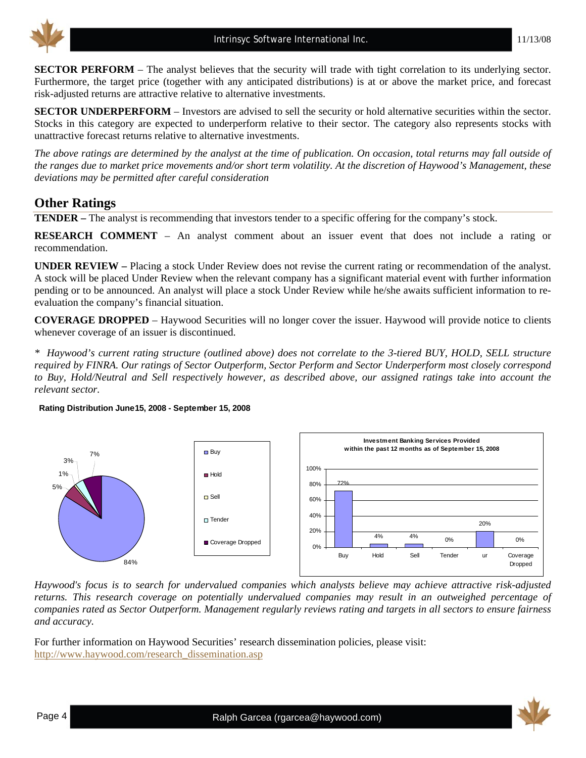

**SECTOR PERFORM** – The analyst believes that the security will trade with tight correlation to its underlying sector. Furthermore, the target price (together with any anticipated distributions) is at or above the market price, and forecast risk-adjusted returns are attractive relative to alternative investments.

**SECTOR UNDERPERFORM** – Investors are advised to sell the security or hold alternative securities within the sector. Stocks in this category are expected to underperform relative to their sector. The category also represents stocks with unattractive forecast returns relative to alternative investments.

*The above ratings are determined by the analyst at the time of publication. On occasion, total returns may fall outside of the ranges due to market price movements and/or short term volatility. At the discretion of Haywood's Management, these deviations may be permitted after careful consideration* 

## **Other Ratings**

**TENDER –** The analyst is recommending that investors tender to a specific offering for the company's stock.

**RESEARCH COMMENT** – An analyst comment about an issuer event that does not include a rating or recommendation.

**UNDER REVIEW –** Placing a stock Under Review does not revise the current rating or recommendation of the analyst. A stock will be placed Under Review when the relevant company has a significant material event with further information pending or to be announced. An analyst will place a stock Under Review while he/she awaits sufficient information to reevaluation the company's financial situation.

**COVERAGE DROPPED** – Haywood Securities will no longer cover the issuer. Haywood will provide notice to clients whenever coverage of an issuer is discontinued.

*\* Haywood's current rating structure (outlined above) does not correlate to the 3-tiered BUY, HOLD, SELL structure required by FINRA. Our ratings of Sector Outperform, Sector Perform and Sector Underperform most closely correspond to Buy, Hold/Neutral and Sell respectively however, as described above, our assigned ratings take into account the relevant sector.* 

#### **Rating Distribution June15, 2008 - September 15, 2008**



*Haywood's focus is to search for undervalued companies which analysts believe may achieve attractive risk-adjusted returns. This research coverage on potentially undervalued companies may result in an outweighed percentage of companies rated as Sector Outperform. Management regularly reviews rating and targets in all sectors to ensure fairness and accuracy.* 

For further information on Haywood Securities' research dissemination policies, please visit: [http://www.haywood.com/research\\_dissemination.asp](http://www.haywood.com/research_dissemination.asp) 

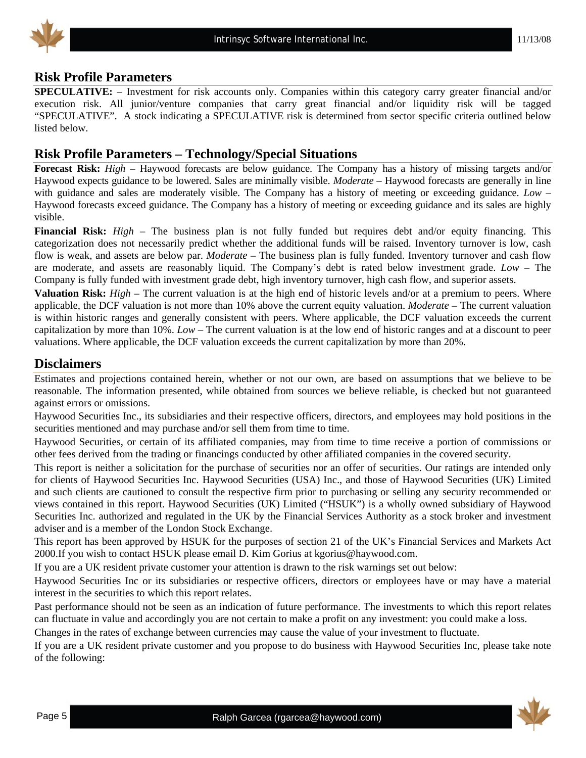

#### **Risk Profile Parameters**

**SPECULATIVE:** – Investment for risk accounts only. Companies within this category carry greater financial and/or execution risk. All junior/venture companies that carry great financial and/or liquidity risk will be tagged "SPECULATIVE". A stock indicating a SPECULATIVE risk is determined from sector specific criteria outlined below listed below.

## **Risk Profile Parameters – Technology/Special Situations**

**Forecast Risk:** *High* – Haywood forecasts are below guidance. The Company has a history of missing targets and/or Haywood expects guidance to be lowered. Sales are minimally visible. *Moderate* – Haywood forecasts are generally in line with guidance and sales are moderately visible. The Company has a history of meeting or exceeding guidance. *Low* – Haywood forecasts exceed guidance. The Company has a history of meeting or exceeding guidance and its sales are highly visible.

**Financial Risk:** *High* – The business plan is not fully funded but requires debt and/or equity financing. This categorization does not necessarily predict whether the additional funds will be raised. Inventory turnover is low, cash flow is weak, and assets are below par. *Moderate* – The business plan is fully funded. Inventory turnover and cash flow are moderate, and assets are reasonably liquid. The Company's debt is rated below investment grade. *Low* – The Company is fully funded with investment grade debt, high inventory turnover, high cash flow, and superior assets.

**Valuation Risk:** *High* – The current valuation is at the high end of historic levels and/or at a premium to peers. Where applicable, the DCF valuation is not more than 10% above the current equity valuation. *Moderate* – The current valuation is within historic ranges and generally consistent with peers. Where applicable, the DCF valuation exceeds the current capitalization by more than 10%. *Low* – The current valuation is at the low end of historic ranges and at a discount to peer valuations. Where applicable, the DCF valuation exceeds the current capitalization by more than 20%.

#### **Disclaimers**

Estimates and projections contained herein, whether or not our own, are based on assumptions that we believe to be reasonable. The information presented, while obtained from sources we believe reliable, is checked but not guaranteed against errors or omissions.

Haywood Securities Inc., its subsidiaries and their respective officers, directors, and employees may hold positions in the securities mentioned and may purchase and/or sell them from time to time.

Haywood Securities, or certain of its affiliated companies, may from time to time receive a portion of commissions or other fees derived from the trading or financings conducted by other affiliated companies in the covered security.

This report is neither a solicitation for the purchase of securities nor an offer of securities. Our ratings are intended only for clients of Haywood Securities Inc. Haywood Securities (USA) Inc., and those of Haywood Securities (UK) Limited and such clients are cautioned to consult the respective firm prior to purchasing or selling any security recommended or views contained in this report. Haywood Securities (UK) Limited ("HSUK") is a wholly owned subsidiary of Haywood Securities Inc. authorized and regulated in the UK by the Financial Services Authority as a stock broker and investment adviser and is a member of the London Stock Exchange.

This report has been approved by HSUK for the purposes of section 21 of the UK's Financial Services and Markets Act 2000.If you wish to contact HSUK please email D. Kim Gorius at kgorius@haywood.com.

If you are a UK resident private customer your attention is drawn to the risk warnings set out below:

Haywood Securities Inc or its subsidiaries or respective officers, directors or employees have or may have a material interest in the securities to which this report relates.

Past performance should not be seen as an indication of future performance. The investments to which this report relates can fluctuate in value and accordingly you are not certain to make a profit on any investment: you could make a loss.

Changes in the rates of exchange between currencies may cause the value of your investment to fluctuate.

If you are a UK resident private customer and you propose to do business with Haywood Securities Inc, please take note of the following: